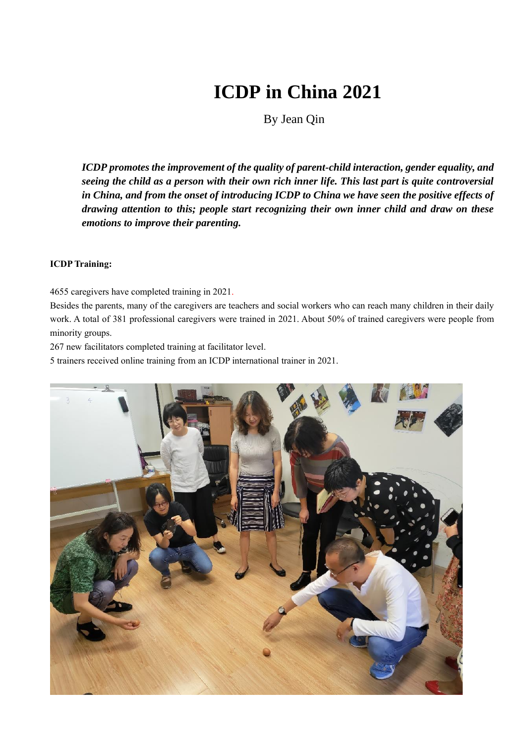# **ICDP in China 2021**

By Jean Qin

*ICDP promotes the improvement of the quality of parent-child interaction, gender equality, and seeing the child as a person with their own rich inner life. This last part is quite controversial in China, and from the onset of introducing ICDP to China we have seen the positive effects of drawing attention to this; people start recognizing their own inner child and draw on these emotions to improve their parenting.* 

# **ICDP Training:**

4655 caregivers have completed training in 2021.

Besides the parents, many of the caregivers are teachers and social workers who can reach many children in their daily work. A total of 381 professional caregivers were trained in 2021. About 50% of trained caregivers were people from minority groups.

267 new facilitators completed training at facilitator level.

5 trainers received online training from an ICDP international trainer in 2021.

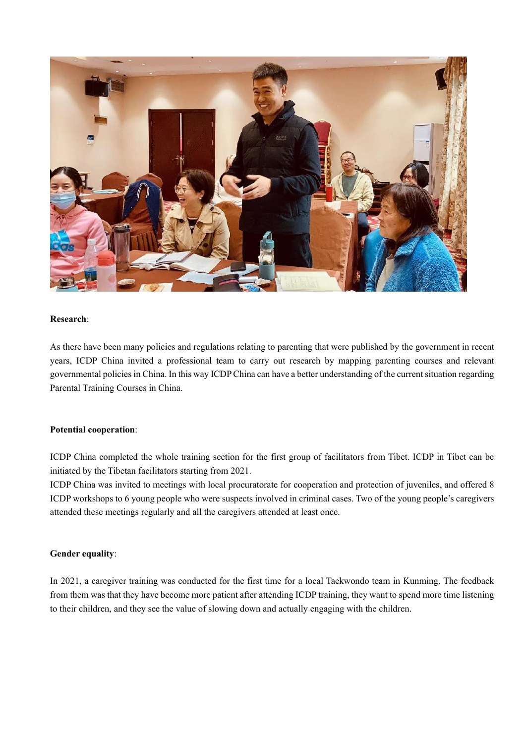

### **Research**:

As there have been many policies and regulations relating to parenting that were published by the government in recent years, ICDP China invited a professional team to carry out research by mapping parenting courses and relevant governmental policies in China. In this way ICDP China can have a better understanding of the current situation regarding Parental Training Courses in China.

## **Potential cooperation**:

ICDP China completed the whole training section for the first group of facilitators from Tibet. ICDP in Tibet can be initiated by the Tibetan facilitators starting from 2021.

ICDP China was invited to meetings with local procuratorate for cooperation and protection of juveniles, and offered 8 ICDP workshops to 6 young people who were suspects involved in criminal cases. Two of the young people's caregivers attended these meetings regularly and all the caregivers attended at least once.

#### **Gender equality**:

In 2021, a caregiver training was conducted for the first time for a local Taekwondo team in Kunming. The feedback from them was that they have become more patient after attending ICDP training, they want to spend more time listening to their children, and they see the value of slowing down and actually engaging with the children.